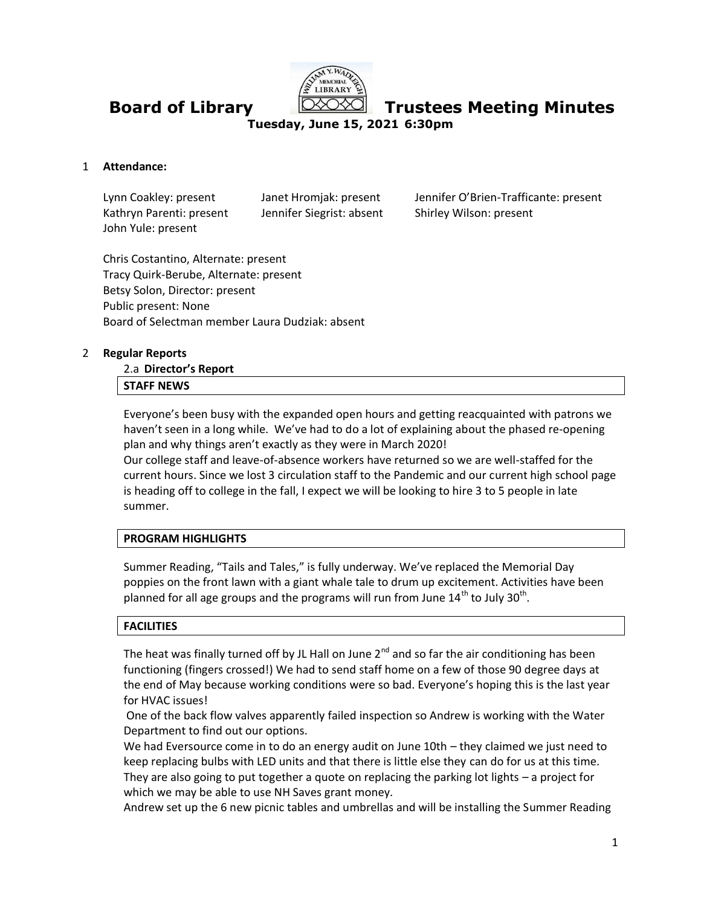

**Board of Library Trustees Meeting Minutes**

**Tuesday, June 15, 2021 6:30pm**

#### 1 **Attendance:**

Kathryn Parenti: present Jennifer Siegrist: absent Shirley Wilson: present John Yule: present

Lynn Coakley: present Janet Hromjak: present Jennifer O'Brien-Trafficante: present

Chris Costantino, Alternate: present Tracy Quirk-Berube, Alternate: present Betsy Solon, Director: present Public present: None Board of Selectman member Laura Dudziak: absent

#### 2 **Regular Reports**

# 2.a **Director's Report**

# **STAFF NEWS**

Everyone's been busy with the expanded open hours and getting reacquainted with patrons we haven't seen in a long while. We've had to do a lot of explaining about the phased re-opening plan and why things aren't exactly as they were in March 2020!

Our college staff and leave-of-absence workers have returned so we are well-staffed for the current hours. Since we lost 3 circulation staff to the Pandemic and our current high school page is heading off to college in the fall, I expect we will be looking to hire 3 to 5 people in late summer.

### **PROGRAM HIGHLIGHTS**

Summer Reading, "Tails and Tales," is fully underway. We've replaced the Memorial Day poppies on the front lawn with a giant whale tale to drum up excitement. Activities have been planned for all age groups and the programs will run from June  $14^{\text{th}}$  to July 30<sup>th</sup>.

#### **FACILITIES**

The heat was finally turned off by JL Hall on June  $2^{nd}$  and so far the air conditioning has been functioning (fingers crossed!) We had to send staff home on a few of those 90 degree days at the end of May because working conditions were so bad. Everyone's hoping this is the last year for HVAC issues!

One of the back flow valves apparently failed inspection so Andrew is working with the Water Department to find out our options.

We had Eversource come in to do an energy audit on June 10th – they claimed we just need to keep replacing bulbs with LED units and that there is little else they can do for us at this time. They are also going to put together a quote on replacing the parking lot lights – a project for which we may be able to use NH Saves grant money.

Andrew set up the 6 new picnic tables and umbrellas and will be installing the Summer Reading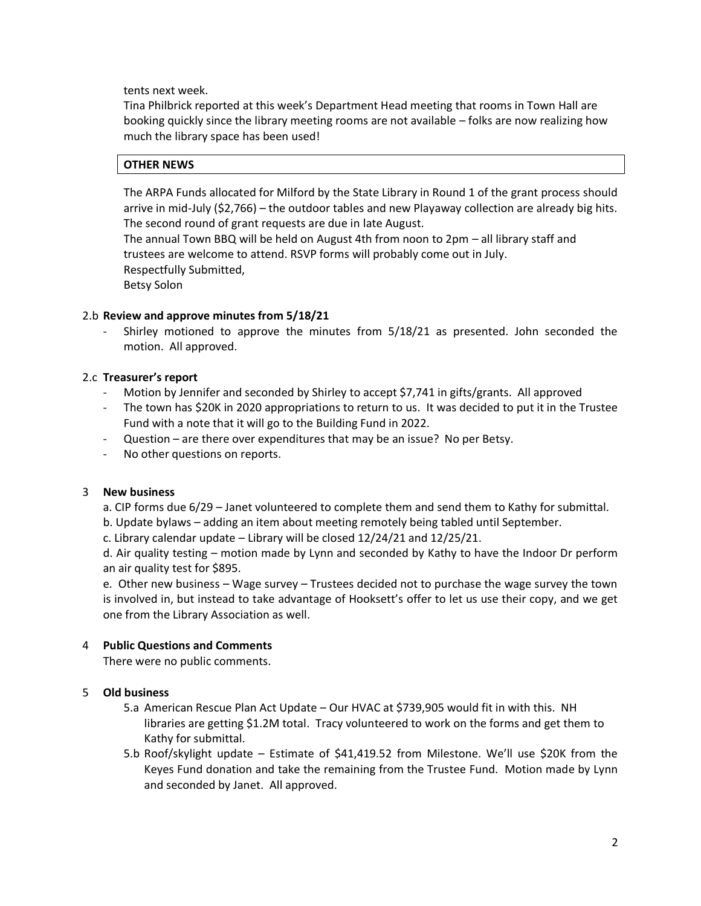tents next week.

Tina Philbrick reported at this week's Department Head meeting that rooms in Town Hall are booking quickly since the library meeting rooms are not available – folks are now realizing how much the library space has been used!

#### **OTHER NEWS**

The ARPA Funds allocated for Milford by the State Library in Round 1 of the grant process should arrive in mid-July (\$2,766) – the outdoor tables and new Playaway collection are already big hits. The second round of grant requests are due in late August.

The annual Town BBQ will be held on August 4th from noon to 2pm – all library staff and trustees are welcome to attend. RSVP forms will probably come out in July. Respectfully Submitted,

Betsy Solon

#### 2.b **Review and approve minutes from 5/18/21**

Shirley motioned to approve the minutes from  $5/18/21$  as presented. John seconded the motion. All approved.

#### 2.c **Treasurer's report**

- Motion by Jennifer and seconded by Shirley to accept \$7,741 in gifts/grants. All approved
- The town has \$20K in 2020 appropriations to return to us. It was decided to put it in the Trustee Fund with a note that it will go to the Building Fund in 2022.
- Question are there over expenditures that may be an issue? No per Betsy.
- No other questions on reports.

#### 3 **New business**

- a. CIP forms due 6/29 Janet volunteered to complete them and send them to Kathy for submittal.
- b. Update bylaws adding an item about meeting remotely being tabled until September.
- c. Library calendar update Library will be closed 12/24/21 and 12/25/21.

d. Air quality testing – motion made by Lynn and seconded by Kathy to have the Indoor Dr perform an air quality test for \$895.

e. Other new business – Wage survey – Trustees decided not to purchase the wage survey the town is involved in, but instead to take advantage of Hooksett's offer to let us use their copy, and we get one from the Library Association as well.

### 4 **Public Questions and Comments**

There were no public comments.

### 5 **Old business**

- 5.a American Rescue Plan Act Update Our HVAC at \$739,905 would fit in with this. NH libraries are getting \$1.2M total. Tracy volunteered to work on the forms and get them to Kathy for submittal.
- 5.b Roof/skylight update Estimate of \$41,419.52 from Milestone. We'll use \$20K from the Keyes Fund donation and take the remaining from the Trustee Fund. Motion made by Lynn and seconded by Janet. All approved.